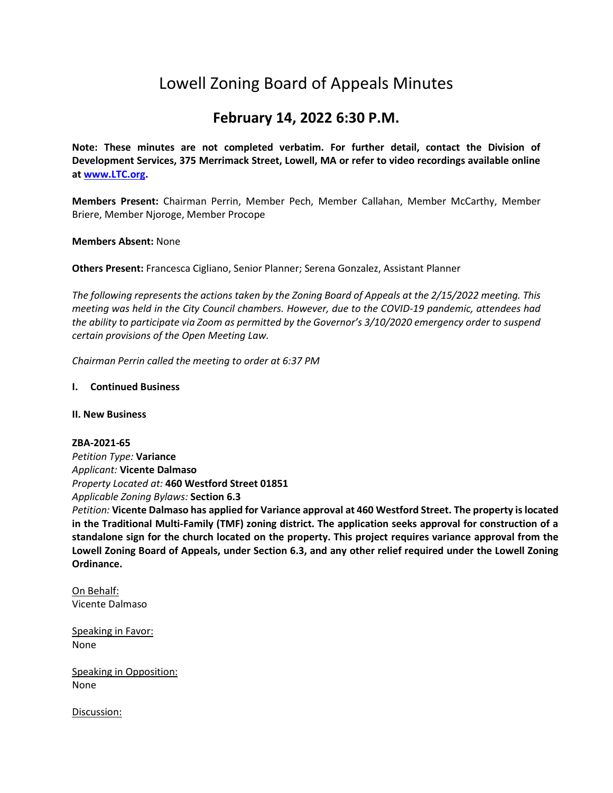# Lowell Zoning Board of Appeals Minutes

# **February 14, 2022 6:30 P.M.**

**Note: These minutes are not completed verbatim. For further detail, contact the Division of Development Services, 375 Merrimack Street, Lowell, MA or refer to video recordings available online a[t www.LTC.org.](http://www.ltc.org/)**

**Members Present:** Chairman Perrin, Member Pech, Member Callahan, Member McCarthy, Member Briere, Member Njoroge, Member Procope

#### **Members Absent:** None

**Others Present:** Francesca Cigliano, Senior Planner; Serena Gonzalez, Assistant Planner

*The following represents the actions taken by the Zoning Board of Appeals at the 2/15/2022 meeting. This meeting was held in the City Council chambers. However, due to the COVID-19 pandemic, attendees had the ability to participate via Zoom as permitted by the Governor's 3/10/2020 emergency order to suspend certain provisions of the Open Meeting Law.*

*Chairman Perrin called the meeting to order at 6:37 PM*

#### **I. Continued Business**

#### **II. New Business**

#### **ZBA-2021-65**

*Petition Type:* **Variance** *Applicant:* **Vicente Dalmaso** *Property Located at:* **460 Westford Street 01851** *Applicable Zoning Bylaws:* **Section 6.3**

*Petition:* **Vicente Dalmaso has applied for Variance approval at 460 Westford Street. The property is located in the Traditional Multi-Family (TMF) zoning district. The application seeks approval for construction of a standalone sign for the church located on the property. This project requires variance approval from the Lowell Zoning Board of Appeals, under Section 6.3, and any other relief required under the Lowell Zoning Ordinance.**

On Behalf: Vicente Dalmaso

Speaking in Favor: None

Speaking in Opposition: None

Discussion: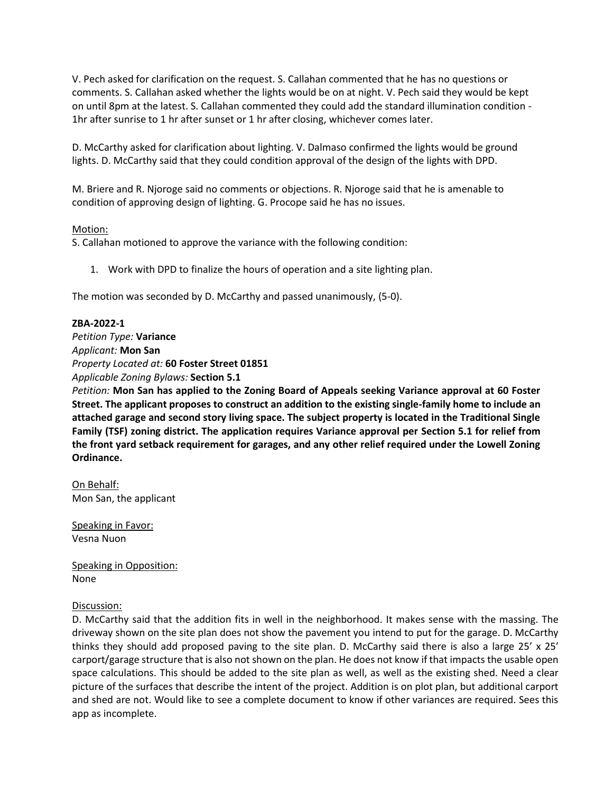V. Pech asked for clarification on the request. S. Callahan commented that he has no questions or comments. S. Callahan asked whether the lights would be on at night. V. Pech said they would be kept on until 8pm at the latest. S. Callahan commented they could add the standard illumination condition - 1hr after sunrise to 1 hr after sunset or 1 hr after closing, whichever comes later.

D. McCarthy asked for clarification about lighting. V. Dalmaso confirmed the lights would be ground lights. D. McCarthy said that they could condition approval of the design of the lights with DPD.

M. Briere and R. Njoroge said no comments or objections. R. Njoroge said that he is amenable to condition of approving design of lighting. G. Procope said he has no issues.

# Motion:

S. Callahan motioned to approve the variance with the following condition:

1. Work with DPD to finalize the hours of operation and a site lighting plan.

The motion was seconded by D. McCarthy and passed unanimously, (5-0).

#### **ZBA-2022-1**

*Petition Type:* **Variance** *Applicant:* **Mon San** *Property Located at:* **60 Foster Street 01851** *Applicable Zoning Bylaws:* **Section 5.1**

*Petition:* **Mon San has applied to the Zoning Board of Appeals seeking Variance approval at 60 Foster Street. The applicant proposes to construct an addition to the existing single-family home to include an attached garage and second story living space. The subject property is located in the Traditional Single Family (TSF) zoning district. The application requires Variance approval per Section 5.1 for relief from the front yard setback requirement for garages, and any other relief required under the Lowell Zoning Ordinance.**

On Behalf: Mon San, the applicant

Speaking in Favor: Vesna Nuon

Speaking in Opposition: None

#### Discussion:

D. McCarthy said that the addition fits in well in the neighborhood. It makes sense with the massing. The driveway shown on the site plan does not show the pavement you intend to put for the garage. D. McCarthy thinks they should add proposed paving to the site plan. D. McCarthy said there is also a large  $25' \times 25'$ carport/garage structure that is also not shown on the plan. He does not know if that impacts the usable open space calculations. This should be added to the site plan as well, as well as the existing shed. Need a clear picture of the surfaces that describe the intent of the project. Addition is on plot plan, but additional carport and shed are not. Would like to see a complete document to know if other variances are required. Sees this app as incomplete.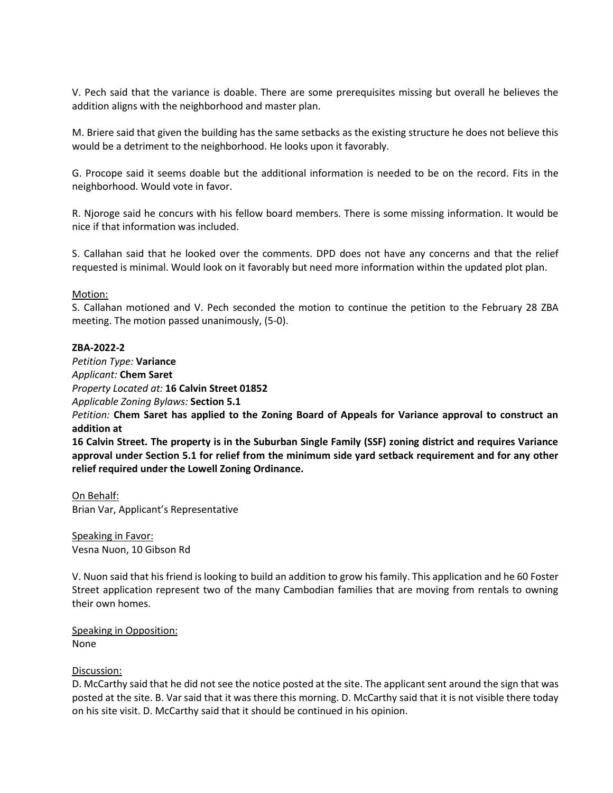V. Pech said that the variance is doable. There are some prerequisites missing but overall he believes the addition aligns with the neighborhood and master plan.

M. Briere said that given the building has the same setbacks as the existing structure he does not believe this would be a detriment to the neighborhood. He looks upon it favorably.

G. Procope said it seems doable but the additional information is needed to be on the record. Fits in the neighborhood. Would vote in favor.

R. Njoroge said he concurs with his fellow board members. There is some missing information. It would be nice if that information was included.

S. Callahan said that he looked over the comments. DPD does not have any concerns and that the relief requested is minimal. Would look on it favorably but need more information within the updated plot plan.

# Motion:

S. Callahan motioned and V. Pech seconded the motion to continue the petition to the February 28 ZBA meeting. The motion passed unanimously, (5-0).

#### **ZBA-2022-2**

*Petition Type:* **Variance** *Applicant:* **Chem Saret** *Property Located at:* **16 Calvin Street 01852**

*Applicable Zoning Bylaws:* **Section 5.1**

*Petition:* **Chem Saret has applied to the Zoning Board of Appeals for Variance approval to construct an addition at**

**16 Calvin Street. The property is in the Suburban Single Family (SSF) zoning district and requires Variance approval under Section 5.1 for relief from the minimum side yard setback requirement and for any other relief required under the Lowell Zoning Ordinance.**

On Behalf: Brian Var, Applicant's Representative

Speaking in Favor: Vesna Nuon, 10 Gibson Rd

V. Nuon said that his friend is looking to build an addition to grow his family. This application and he 60 Foster Street application represent two of the many Cambodian families that are moving from rentals to owning their own homes.

Speaking in Opposition: None

#### Discussion:

D. McCarthy said that he did not see the notice posted at the site. The applicant sent around the sign that was posted at the site. B. Var said that it was there this morning. D. McCarthy said that it is not visible there today on his site visit. D. McCarthy said that it should be continued in his opinion.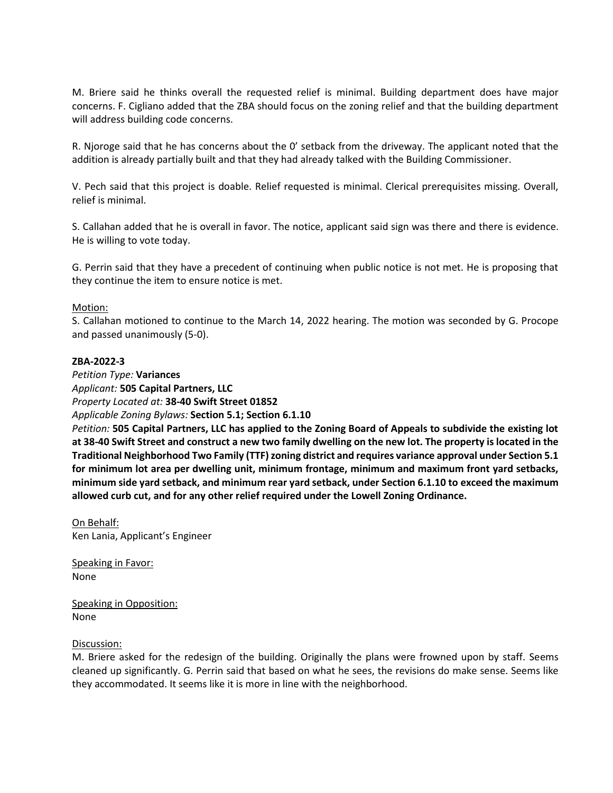M. Briere said he thinks overall the requested relief is minimal. Building department does have major concerns. F. Cigliano added that the ZBA should focus on the zoning relief and that the building department will address building code concerns.

R. Njoroge said that he has concerns about the 0' setback from the driveway. The applicant noted that the addition is already partially built and that they had already talked with the Building Commissioner.

V. Pech said that this project is doable. Relief requested is minimal. Clerical prerequisites missing. Overall, relief is minimal.

S. Callahan added that he is overall in favor. The notice, applicant said sign was there and there is evidence. He is willing to vote today.

G. Perrin said that they have a precedent of continuing when public notice is not met. He is proposing that they continue the item to ensure notice is met.

#### Motion:

S. Callahan motioned to continue to the March 14, 2022 hearing. The motion was seconded by G. Procope and passed unanimously (5-0).

#### **ZBA-2022-3**

*Petition Type:* **Variances** *Applicant:* **505 Capital Partners, LLC**

*Property Located at:* **38-40 Swift Street 01852**

#### *Applicable Zoning Bylaws:* **Section 5.1; Section 6.1.10**

*Petition:* **505 Capital Partners, LLC has applied to the Zoning Board of Appeals to subdivide the existing lot at 38-40 Swift Street and construct a new two family dwelling on the new lot. The property is located in the Traditional Neighborhood Two Family (TTF) zoning district and requires variance approval under Section 5.1 for minimum lot area per dwelling unit, minimum frontage, minimum and maximum front yard setbacks, minimum side yard setback, and minimum rear yard setback, under Section 6.1.10 to exceed the maximum allowed curb cut, and for any other relief required under the Lowell Zoning Ordinance.**

On Behalf: Ken Lania, Applicant's Engineer

Speaking in Favor: None

Speaking in Opposition: None

#### Discussion:

M. Briere asked for the redesign of the building. Originally the plans were frowned upon by staff. Seems cleaned up significantly. G. Perrin said that based on what he sees, the revisions do make sense. Seems like they accommodated. It seems like it is more in line with the neighborhood.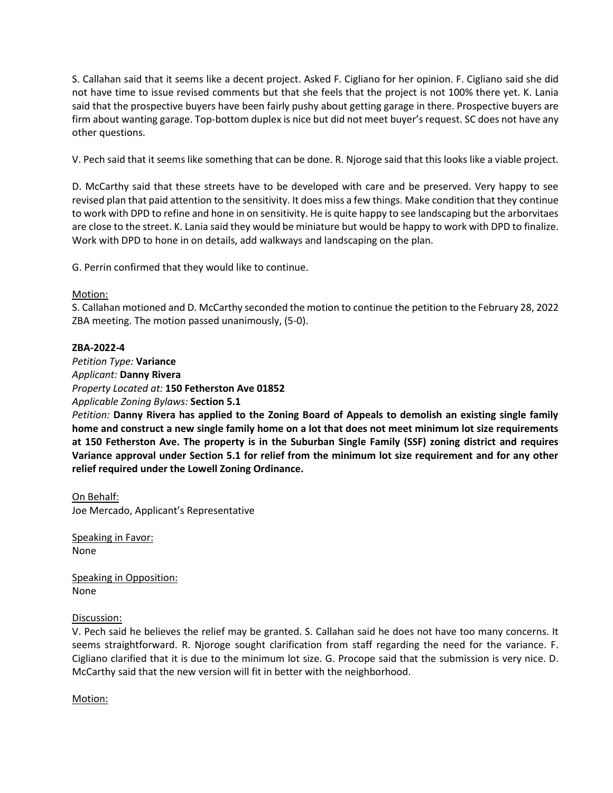S. Callahan said that it seems like a decent project. Asked F. Cigliano for her opinion. F. Cigliano said she did not have time to issue revised comments but that she feels that the project is not 100% there yet. K. Lania said that the prospective buyers have been fairly pushy about getting garage in there. Prospective buyers are firm about wanting garage. Top-bottom duplex is nice but did not meet buyer's request. SC does not have any other questions.

V. Pech said that it seems like something that can be done. R. Njoroge said that this looks like a viable project.

D. McCarthy said that these streets have to be developed with care and be preserved. Very happy to see revised plan that paid attention to the sensitivity. It does miss a few things. Make condition that they continue to work with DPD to refine and hone in on sensitivity. He is quite happy to see landscaping but the arborvitaes are close to the street. K. Lania said they would be miniature but would be happy to work with DPD to finalize. Work with DPD to hone in on details, add walkways and landscaping on the plan.

G. Perrin confirmed that they would like to continue.

# Motion:

S. Callahan motioned and D. McCarthy seconded the motion to continue the petition to the February 28, 2022 ZBA meeting. The motion passed unanimously, (5-0).

# **ZBA-2022-4**

*Petition Type:* **Variance** *Applicant:* **Danny Rivera** *Property Located at:* **150 Fetherston Ave 01852** *Applicable Zoning Bylaws:* **Section 5.1**

*Petition:* **Danny Rivera has applied to the Zoning Board of Appeals to demolish an existing single family home and construct a new single family home on a lot that does not meet minimum lot size requirements at 150 Fetherston Ave. The property is in the Suburban Single Family (SSF) zoning district and requires Variance approval under Section 5.1 for relief from the minimum lot size requirement and for any other relief required under the Lowell Zoning Ordinance.**

On Behalf: Joe Mercado, Applicant's Representative

Speaking in Favor: None

Speaking in Opposition: None

# Discussion:

V. Pech said he believes the relief may be granted. S. Callahan said he does not have too many concerns. It seems straightforward. R. Njoroge sought clarification from staff regarding the need for the variance. F. Cigliano clarified that it is due to the minimum lot size. G. Procope said that the submission is very nice. D. McCarthy said that the new version will fit in better with the neighborhood.

Motion: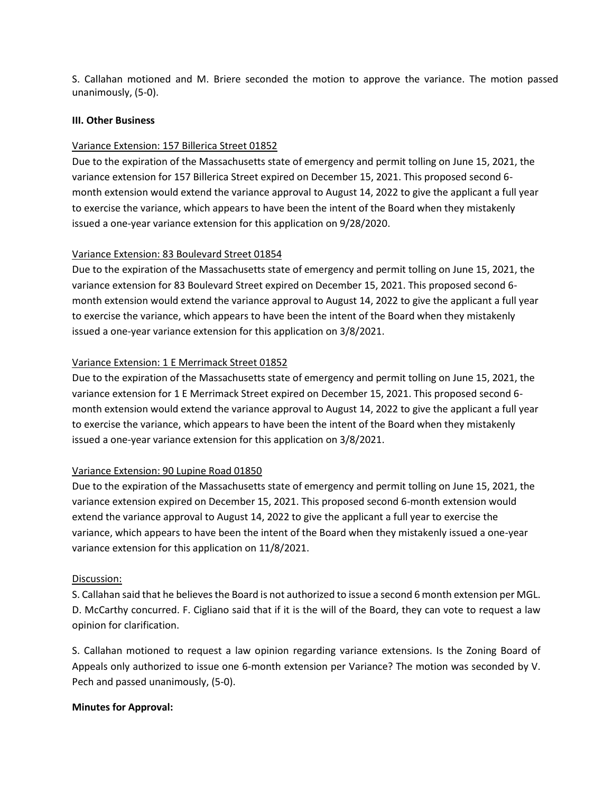S. Callahan motioned and M. Briere seconded the motion to approve the variance. The motion passed unanimously, (5-0).

### **III. Other Business**

# Variance Extension: 157 Billerica Street 01852

Due to the expiration of the Massachusetts state of emergency and permit tolling on June 15, 2021, the variance extension for 157 Billerica Street expired on December 15, 2021. This proposed second 6 month extension would extend the variance approval to August 14, 2022 to give the applicant a full year to exercise the variance, which appears to have been the intent of the Board when they mistakenly issued a one-year variance extension for this application on 9/28/2020.

# Variance Extension: 83 Boulevard Street 01854

Due to the expiration of the Massachusetts state of emergency and permit tolling on June 15, 2021, the variance extension for 83 Boulevard Street expired on December 15, 2021. This proposed second 6 month extension would extend the variance approval to August 14, 2022 to give the applicant a full year to exercise the variance, which appears to have been the intent of the Board when they mistakenly issued a one-year variance extension for this application on 3/8/2021.

#### Variance Extension: 1 E Merrimack Street 01852

Due to the expiration of the Massachusetts state of emergency and permit tolling on June 15, 2021, the variance extension for 1 E Merrimack Street expired on December 15, 2021. This proposed second 6 month extension would extend the variance approval to August 14, 2022 to give the applicant a full year to exercise the variance, which appears to have been the intent of the Board when they mistakenly issued a one-year variance extension for this application on 3/8/2021.

# Variance Extension: 90 Lupine Road 01850

Due to the expiration of the Massachusetts state of emergency and permit tolling on June 15, 2021, the variance extension expired on December 15, 2021. This proposed second 6-month extension would extend the variance approval to August 14, 2022 to give the applicant a full year to exercise the variance, which appears to have been the intent of the Board when they mistakenly issued a one-year variance extension for this application on 11/8/2021.

#### Discussion:

S. Callahan said that he believes the Board is not authorized to issue a second 6 month extension per MGL. D. McCarthy concurred. F. Cigliano said that if it is the will of the Board, they can vote to request a law opinion for clarification.

S. Callahan motioned to request a law opinion regarding variance extensions. Is the Zoning Board of Appeals only authorized to issue one 6-month extension per Variance? The motion was seconded by V. Pech and passed unanimously, (5-0).

# **Minutes for Approval:**